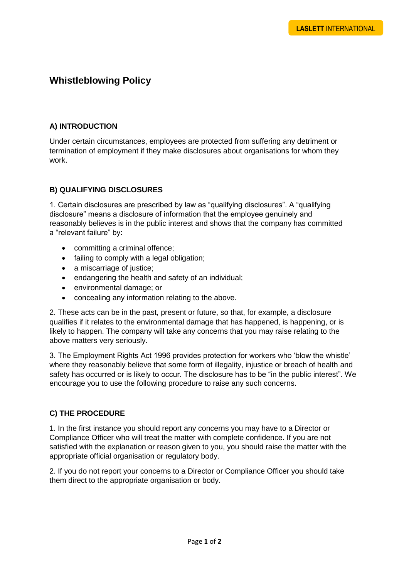# **Whistleblowing Policy**

#### **A) INTRODUCTION**

Under certain circumstances, employees are protected from suffering any detriment or termination of employment if they make disclosures about organisations for whom they work.

#### **B) QUALIFYING DISCLOSURES**

1. Certain disclosures are prescribed by law as "qualifying disclosures". A "qualifying disclosure" means a disclosure of information that the employee genuinely and reasonably believes is in the public interest and shows that the company has committed a "relevant failure" by:

- committing a criminal offence;
- failing to comply with a legal obligation;
- a miscarriage of justice;
- endangering the health and safety of an individual;
- environmental damage; or
- concealing any information relating to the above.

2. These acts can be in the past, present or future, so that, for example, a disclosure qualifies if it relates to the environmental damage that has happened, is happening, or is likely to happen. The company will take any concerns that you may raise relating to the above matters very seriously.

3. The Employment Rights Act 1996 provides protection for workers who 'blow the whistle' where they reasonably believe that some form of illegality, injustice or breach of health and safety has occurred or is likely to occur. The disclosure has to be "in the public interest". We encourage you to use the following procedure to raise any such concerns.

### **C) THE PROCEDURE**

1. In the first instance you should report any concerns you may have to a Director or Compliance Officer who will treat the matter with complete confidence. If you are not satisfied with the explanation or reason given to you, you should raise the matter with the appropriate official organisation or regulatory body.

2. If you do not report your concerns to a Director or Compliance Officer you should take them direct to the appropriate organisation or body.